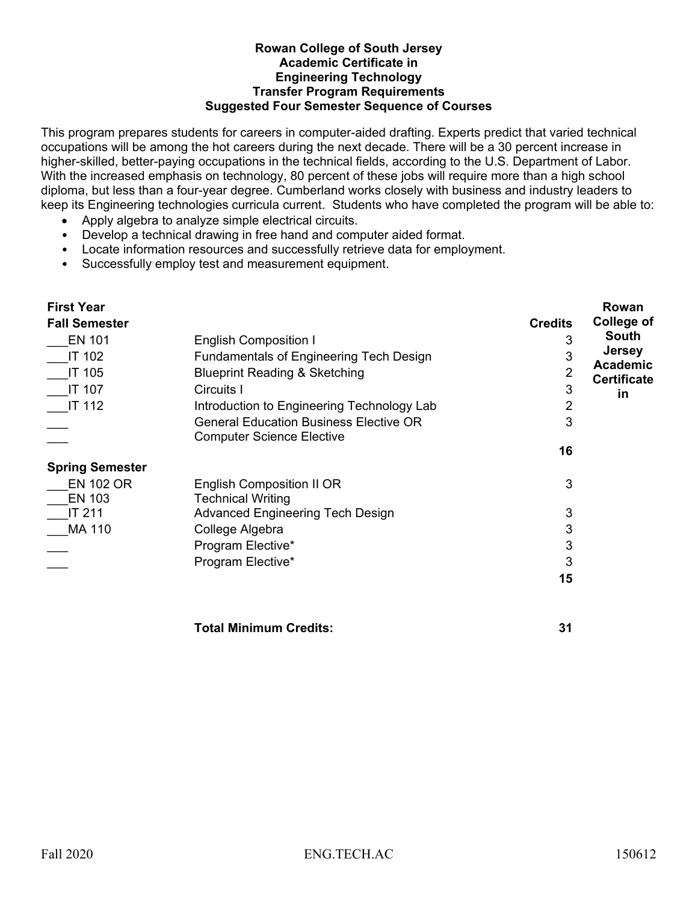## **Rowan College of South Jersey Academic Certificate in** **Engineering Technology Transfer Program Requirements Suggested Four Semester Sequence of Courses**

This program prepares students for careers in computer-aided drafting. Experts predict that varied technical occupations will be among the hot careers during the next decade. There will be a 30 percent increase in higher-skilled, better-paying occupations in the technical fields, according to the U.S. Department of Labor. With the increased emphasis on technology, 80 percent of these jobs will require more than a high school diploma, but less than a four-year degree. Cumberland works closely with business and industry leaders to keep its Engineering technologies curricula current. Students who have completed the program will be able to:

- Apply algebra to analyze simple electrical circuits.
- Develop a technical drawing in free hand and computer aided format.
- Locate information resources and successfully retrieve data for employment.
- Successfully employ test and measurement equipment.

| <b>First Year</b>      |                                                                                   |                | Rowan                    |
|------------------------|-----------------------------------------------------------------------------------|----------------|--------------------------|
| <b>Fall Semester</b>   |                                                                                   | <b>Credits</b> | <b>College of</b>        |
| <b>EN 101</b>          | <b>English Composition I</b>                                                      |                | South                    |
| <b>IT 102</b>          | <b>Fundamentals of Engineering Tech Design</b>                                    | 3              | <b>Jersey</b>            |
| IT 105                 | <b>Blueprint Reading &amp; Sketching</b>                                          | 2              | <b>Academic</b>          |
| <b>IT 107</b>          | Circuits I                                                                        | 3              | <b>Certificate</b><br>in |
| <b>IT 112</b>          | Introduction to Engineering Technology Lab                                        | $\overline{2}$ |                          |
|                        | <b>General Education Business Elective OR</b><br><b>Computer Science Elective</b> | 3              |                          |
|                        |                                                                                   | 16             |                          |
| <b>Spring Semester</b> |                                                                                   |                |                          |
| <b>EN 102 OR</b>       | English Composition II OR                                                         | 3              |                          |
| <b>EN 103</b>          | Technical Writing                                                                 |                |                          |
| <b>IT 211</b>          | <b>Advanced Engineering Tech Design</b>                                           | 3              |                          |
| <b>MA 110</b>          | College Algebra                                                                   | 3              |                          |
|                        | Program Elective*                                                                 | 3              |                          |
|                        | Program Elective*                                                                 | 3              |                          |
|                        |                                                                                   | 15             |                          |
|                        | Total Minimum Credits:                                                            | 31             |                          |